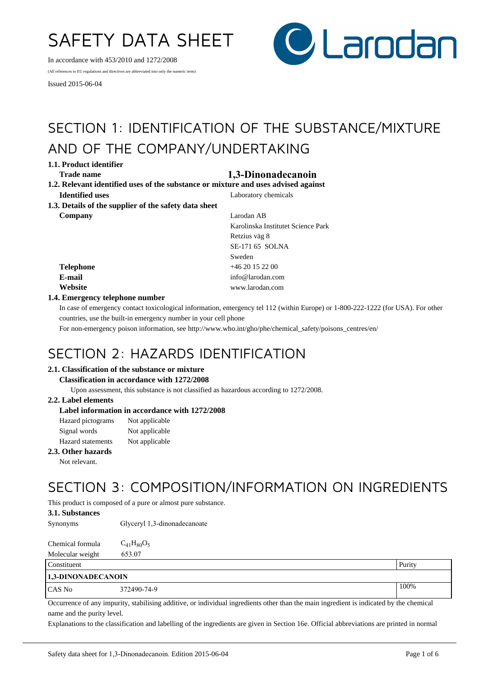# SAFETY DATA SHEET

In accordance with 453/2010 and 1272/2008

(All references to EU regulations and directives are abbreviated into only the numeric term)

Issued 2015-06-04



# SECTION 1: IDENTIFICATION OF THE SUBSTANCE/MIXTURE AND OF THE COMPANY/UNDERTAKING

**1.1. Product identifier**

# **Trade name 1,3-Dinonadecanoin**

- **1.2. Relevant identified uses of the substance or mixture and uses advised against Identified uses** Laboratory chemicals
- **1.3. Details of the supplier of the safety data sheet Company** Larodan AB

Karolinska Institutet Science Park Retzius väg 8 SE-171 65 SOLNA Sweden **Telephone** +46 20 15 22 00 **E-mail** info@larodan.com **Website** www.larodan.com

# **1.4. Emergency telephone number**

In case of emergency contact toxicological information, emergency tel 112 (within Europe) or 1-800-222-1222 (for USA). For other countries, use the built-in emergency number in your cell phone

For non-emergency poison information, see http://www.who.int/gho/phe/chemical\_safety/poisons\_centres/en/

# SECTION 2: HAZARDS IDENTIFICATION

# **2.1. Classification of the substance or mixture**

#### **Classification in accordance with 1272/2008**

Upon assessment, this substance is not classified as hazardous according to 1272/2008.

# **2.2. Label elements**

# **Label information in accordance with 1272/2008**

| Hazard pictograms        | Not applicable |
|--------------------------|----------------|
| Signal words             | Not applicable |
| <b>Hazard</b> statements | Not applicable |

### **2.3. Other hazards**

Not relevant.

# SECTION 3: COMPOSITION/INFORMATION ON INGREDIENTS

This product is composed of a pure or almost pure substance.

### **3.1. Substances**

Synonyms Glyceryl 1,3-dinonadecanoate

Chemical formula  $C_{41}H_{80}O_5$ Molecular weight 653.07

| Constituent               |             | Purity |
|---------------------------|-------------|--------|
| <b>1,3-DINONADECANOIN</b> |             |        |
| CAS No                    | 372490-74-9 | 100%   |

Occurrence of any impurity, stabilising additive, or individual ingredients other than the main ingredient is indicated by the chemical name and the purity level.

Explanations to the classification and labelling of the ingredients are given in Section 16e. Official abbreviations are printed in normal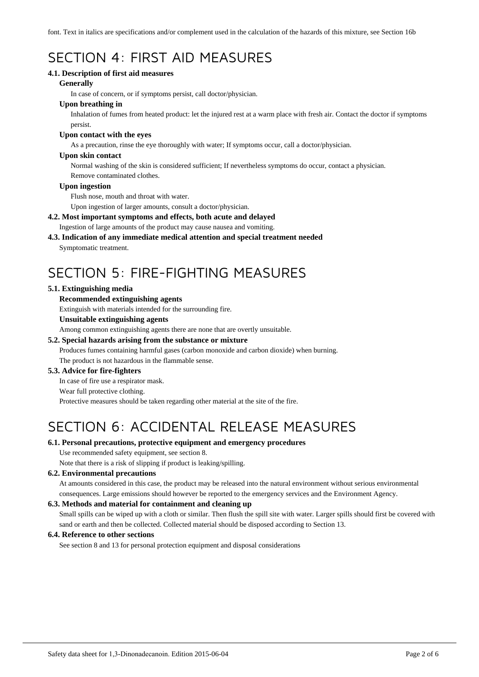font. Text in italics are specifications and/or complement used in the calculation of the hazards of this mixture, see Section 16b

# SECTION 4: FIRST AID MEASURES

# **4.1. Description of first aid measures**

### **Generally**

In case of concern, or if symptoms persist, call doctor/physician.

# **Upon breathing in**

Inhalation of fumes from heated product: let the injured rest at a warm place with fresh air. Contact the doctor if symptoms persist.

### **Upon contact with the eyes**

As a precaution, rinse the eye thoroughly with water; If symptoms occur, call a doctor/physician.

### **Upon skin contact**

Normal washing of the skin is considered sufficient; If nevertheless symptoms do occur, contact a physician. Remove contaminated clothes.

### **Upon ingestion**

Flush nose, mouth and throat with water.

Upon ingestion of larger amounts, consult a doctor/physician.

# **4.2. Most important symptoms and effects, both acute and delayed**

Ingestion of large amounts of the product may cause nausea and vomiting.

# **4.3. Indication of any immediate medical attention and special treatment needed**

Symptomatic treatment.

# SECTION 5: FIRE-FIGHTING MEASURES

# **5.1. Extinguishing media**

# **Recommended extinguishing agents**

Extinguish with materials intended for the surrounding fire.

### **Unsuitable extinguishing agents**

Among common extinguishing agents there are none that are overtly unsuitable.

# **5.2. Special hazards arising from the substance or mixture**

Produces fumes containing harmful gases (carbon monoxide and carbon dioxide) when burning. The product is not hazardous in the flammable sense.

# **5.3. Advice for fire-fighters**

In case of fire use a respirator mask.

#### Wear full protective clothing.

Protective measures should be taken regarding other material at the site of the fire.

# SECTION 6: ACCIDENTAL RELEASE MEASURES

# **6.1. Personal precautions, protective equipment and emergency procedures**

Use recommended safety equipment, see section 8.

Note that there is a risk of slipping if product is leaking/spilling.

# **6.2. Environmental precautions**

At amounts considered in this case, the product may be released into the natural environment without serious environmental consequences. Large emissions should however be reported to the emergency services and the Environment Agency.

# **6.3. Methods and material for containment and cleaning up**

Small spills can be wiped up with a cloth or similar. Then flush the spill site with water. Larger spills should first be covered with sand or earth and then be collected. Collected material should be disposed according to Section 13.

# **6.4. Reference to other sections**

See section 8 and 13 for personal protection equipment and disposal considerations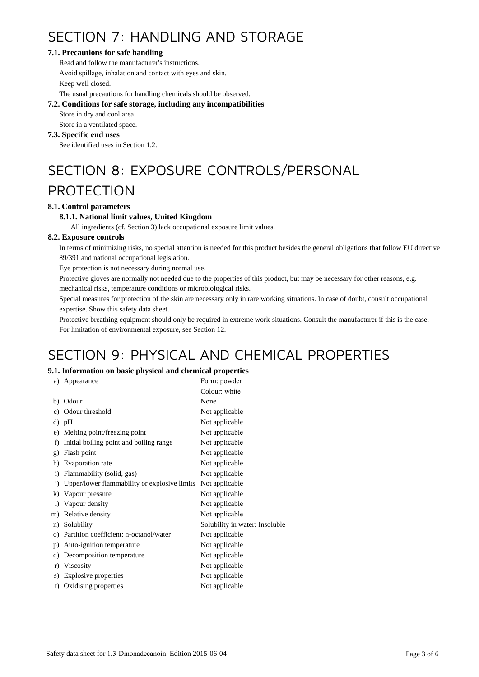# SECTION 7: HANDLING AND STORAGE

# **7.1. Precautions for safe handling**

Read and follow the manufacturer's instructions. Avoid spillage, inhalation and contact with eyes and skin. Keep well closed.

The usual precautions for handling chemicals should be observed.

# **7.2. Conditions for safe storage, including any incompatibilities**

Store in dry and cool area.

Store in a ventilated space.

# **7.3. Specific end uses**

See identified uses in Section 1.2.

# SECTION 8: EXPOSURE CONTROLS/PERSONAL

# PROTECTION

# **8.1. Control parameters**

# **8.1.1. National limit values, United Kingdom**

All ingredients (cf. Section 3) lack occupational exposure limit values.

# **8.2. Exposure controls**

In terms of minimizing risks, no special attention is needed for this product besides the general obligations that follow EU directive 89/391 and national occupational legislation.

Eye protection is not necessary during normal use.

Protective gloves are normally not needed due to the properties of this product, but may be necessary for other reasons, e.g.

mechanical risks, temperature conditions or microbiological risks.

Special measures for protection of the skin are necessary only in rare working situations. In case of doubt, consult occupational expertise. Show this safety data sheet.

Protective breathing equipment should only be required in extreme work-situations. Consult the manufacturer if this is the case. For limitation of environmental exposure, see Section 12.

# SECTION 9: PHYSICAL AND CHEMICAL PROPERTIES

# **9.1. Information on basic physical and chemical properties**

| a)             | Appearance                                   | Form: powder                   |
|----------------|----------------------------------------------|--------------------------------|
|                |                                              | Colour: white                  |
| b)             | Odour                                        | None                           |
| c)             | Odour threshold                              | Not applicable                 |
|                | d) pH                                        | Not applicable                 |
| e)             | Melting point/freezing point                 | Not applicable                 |
| f)             | Initial boiling point and boiling range      | Not applicable                 |
| g)             | Flash point                                  | Not applicable                 |
| h)             | Evaporation rate                             | Not applicable                 |
| $\mathbf{i}$   | Flammability (solid, gas)                    | Not applicable                 |
| $\overline{1}$ | Upper/lower flammability or explosive limits | Not applicable                 |
| k)             | Vapour pressure                              | Not applicable                 |
| $\bf{D}$       | Vapour density                               | Not applicable                 |
| m)             | Relative density                             | Not applicable                 |
| n)             | Solubility                                   | Solubility in water: Insoluble |
| $\circ$ )      | Partition coefficient: n-octanol/water       | Not applicable                 |
| p)             | Auto-ignition temperature                    | Not applicable                 |
| q)             | Decomposition temperature                    | Not applicable                 |
| r)             | Viscosity                                    | Not applicable                 |
| s)             | Explosive properties                         | Not applicable                 |
| t)             | Oxidising properties                         | Not applicable                 |
|                |                                              |                                |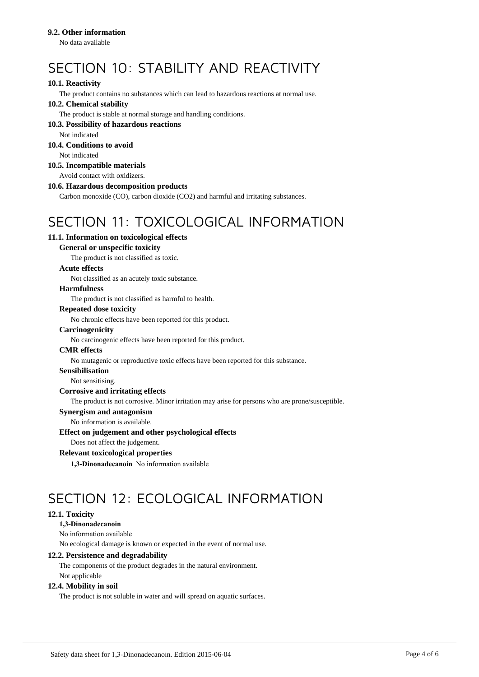## **9.2. Other information**

No data available

# SECTION 10: STABILITY AND REACTIVITY

# **10.1. Reactivity**

The product contains no substances which can lead to hazardous reactions at normal use.

# **10.2. Chemical stability**

The product is stable at normal storage and handling conditions.

### **10.3. Possibility of hazardous reactions**

Not indicated

# **10.4. Conditions to avoid**

Not indicated

# **10.5. Incompatible materials**

Avoid contact with oxidizers.

# **10.6. Hazardous decomposition products**

Carbon monoxide (CO), carbon dioxide (CO2) and harmful and irritating substances.

# SECTION 11: TOXICOLOGICAL INFORMATION

# **11.1. Information on toxicological effects**

# **General or unspecific toxicity**

The product is not classified as toxic.

### **Acute effects**

Not classified as an acutely toxic substance.

# **Harmfulness**

The product is not classified as harmful to health.

### **Repeated dose toxicity**

No chronic effects have been reported for this product.

### **Carcinogenicity**

No carcinogenic effects have been reported for this product.

#### **CMR effects**

No mutagenic or reproductive toxic effects have been reported for this substance.

#### **Sensibilisation**

Not sensitising.

# **Corrosive and irritating effects**

The product is not corrosive. Minor irritation may arise for persons who are prone/susceptible.

#### **Synergism and antagonism**

No information is available.

#### **Effect on judgement and other psychological effects**

Does not affect the judgement.

# **Relevant toxicological properties**

**1,3-Dinonadecanoin** No information available

# SECTION 12: ECOLOGICAL INFORMATION

# **12.1. Toxicity**

# **1,3-Dinonadecanoin**

No information available

No ecological damage is known or expected in the event of normal use.

#### **12.2. Persistence and degradability**

The components of the product degrades in the natural environment. Not applicable

### **12.4. Mobility in soil**

The product is not soluble in water and will spread on aquatic surfaces.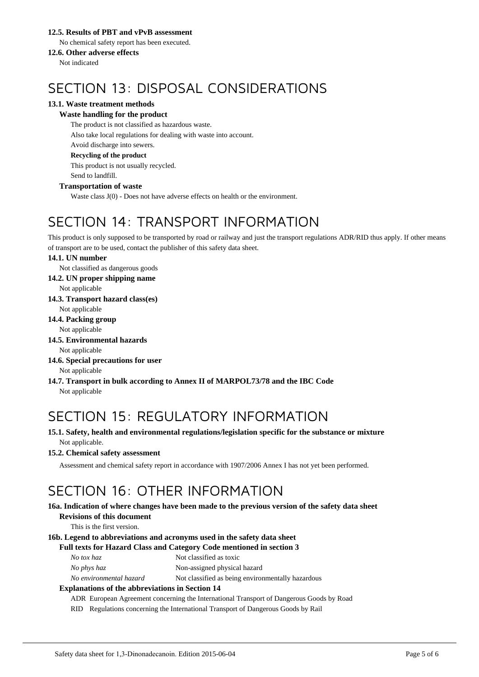# **12.5. Results of PBT and vPvB assessment**

No chemical safety report has been executed.

# **12.6. Other adverse effects**

Not indicated

# SECTION 13: DISPOSAL CONSIDERATIONS

# **13.1. Waste treatment methods**

# **Waste handling for the product**

The product is not classified as hazardous waste. Also take local regulations for dealing with waste into account. Avoid discharge into sewers. **Recycling of the product**

This product is not usually recycled. Send to landfill.

# **Transportation of waste**

Waste class J(0) - Does not have adverse effects on health or the environment.

# SECTION 14: TRANSPORT INFORMATION

This product is only supposed to be transported by road or railway and just the transport regulations ADR/RID thus apply. If other means of transport are to be used, contact the publisher of this safety data sheet.

# **14.1. UN number**

Not classified as dangerous goods

**14.2. UN proper shipping name**

Not applicable

**14.3. Transport hazard class(es)**

Not applicable

**14.4. Packing group**

Not applicable

**14.5. Environmental hazards**

Not applicable

- **14.6. Special precautions for user** Not applicable
- **14.7. Transport in bulk according to Annex II of MARPOL73/78 and the IBC Code** Not applicable

# SECTION 15: REGULATORY INFORMATION

**15.1. Safety, health and environmental regulations/legislation specific for the substance or mixture** Not applicable.

# **15.2. Chemical safety assessment**

Assessment and chemical safety report in accordance with 1907/2006 Annex I has not yet been performed.

# SECTION 16: OTHER INFORMATION

### **16a. Indication of where changes have been made to the previous version of the safety data sheet Revisions of this document**

This is the first version.

# **16b. Legend to abbreviations and acronyms used in the safety data sheet**

# **Full texts for Hazard Class and Category Code mentioned in section 3**

| Not classified as toxic |
|-------------------------|
|                         |

*No phys haz* Non-assigned physical hazard

*No environmental hazard* Not classified as being environmentally hazardous

# **Explanations of the abbreviations in Section 14**

ADR European Agreement concerning the International Transport of Dangerous Goods by Road

RID Regulations concerning the International Transport of Dangerous Goods by Rail